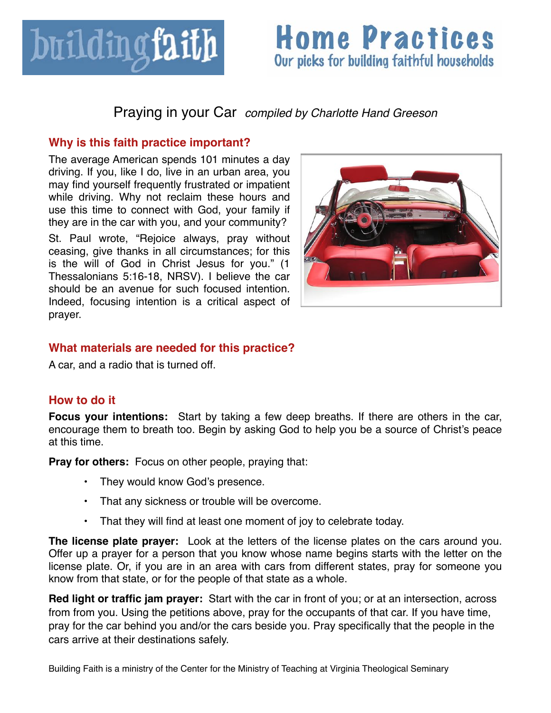

# **Home Practices** Our picks for building faithful households

### Praying in your Car *compiled by Charlotte Hand Greeson*

#### **Why is this faith practice important?**

The average American spends 101 minutes a day driving. If you, like I do, live in an urban area, you may find yourself frequently frustrated or impatient while driving. Why not reclaim these hours and use this time to connect with God, your family if they are in the car with you, and your community?

St. Paul wrote, "Rejoice always, pray without ceasing, give thanks in all circumstances; for this is the will of God in Christ Jesus for you." (1 Thessalonians 5:16-18, NRSV). I believe the car should be an avenue for such focused intention. Indeed, focusing intention is a critical aspect of prayer.



### **What materials are needed for this practice?**

A car, and a radio that is turned off.

### **How to do it**

**Focus your intentions:** Start by taking a few deep breaths. If there are others in the car, encourage them to breath too. Begin by asking God to help you be a source of Christ's peace at this time.

**Pray for others:** Focus on other people, praying that:

- **•** They would know God's presence.
- **•** That any sickness or trouble will be overcome.
- **•** That they will find at least one moment of joy to celebrate today.

**The license plate prayer:** Look at the letters of the license plates on the cars around you. Offer up a prayer for a person that you know whose name begins starts with the letter on the license plate. Or, if you are in an area with cars from different states, pray for someone you know from that state, or for the people of that state as a whole.

**Red light or traffic jam prayer:** Start with the car in front of you; or at an intersection, across from from you. Using the petitions above, pray for the occupants of that car. If you have time, pray for the car behind you and/or the cars beside you. Pray specifically that the people in the cars arrive at their destinations safely.

Building Faith is a ministry of the Center for the Ministry of Teaching at Virginia Theological Seminary